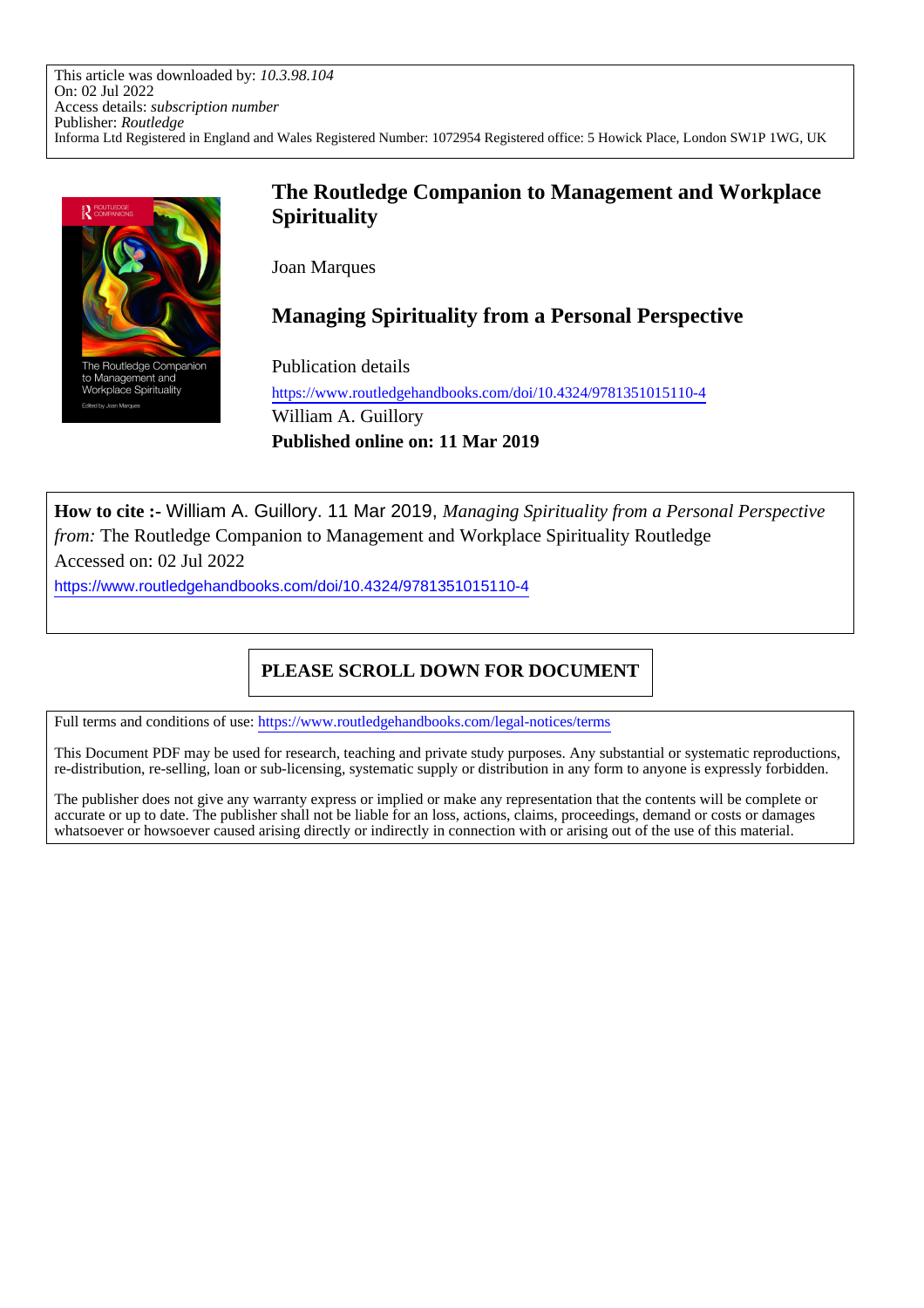This article was downloaded by: *10.3.98.104* On: 02 Jul 2022 Access details: *subscription number* Publisher: *Routledge* Informa Ltd Registered in England and Wales Registered Number: 1072954 Registered office: 5 Howick Place, London SW1P 1WG, UK



# **The Routledge Companion to Management and Workplace Spirituality**

Joan Marques

# **Managing Spirituality from a Personal Perspective**

Publication details https://www.routledgehandbooks.com/doi/10.4324/9781351015110-4 William A. Guillory **Published online on: 11 Mar 2019**

**How to cite :-** William A. Guillory. 11 Mar 2019, *Managing Spirituality from a Personal Perspective from:* The Routledge Companion to Management and Workplace Spirituality Routledge Accessed on: 02 Jul 2022

https://www.routledgehandbooks.com/doi/10.4324/9781351015110-4

# **PLEASE SCROLL DOWN FOR DOCUMENT**

Full terms and conditions of use: https://www.routledgehandbooks.com/legal-notices/terms

This Document PDF may be used for research, teaching and private study purposes. Any substantial or systematic reproductions, re-distribution, re-selling, loan or sub-licensing, systematic supply or distribution in any form to anyone is expressly forbidden.

The publisher does not give any warranty express or implied or make any representation that the contents will be complete or accurate or up to date. The publisher shall not be liable for an loss, actions, claims, proceedings, demand or costs or damages whatsoever or howsoever caused arising directly or indirectly in connection with or arising out of the use of this material.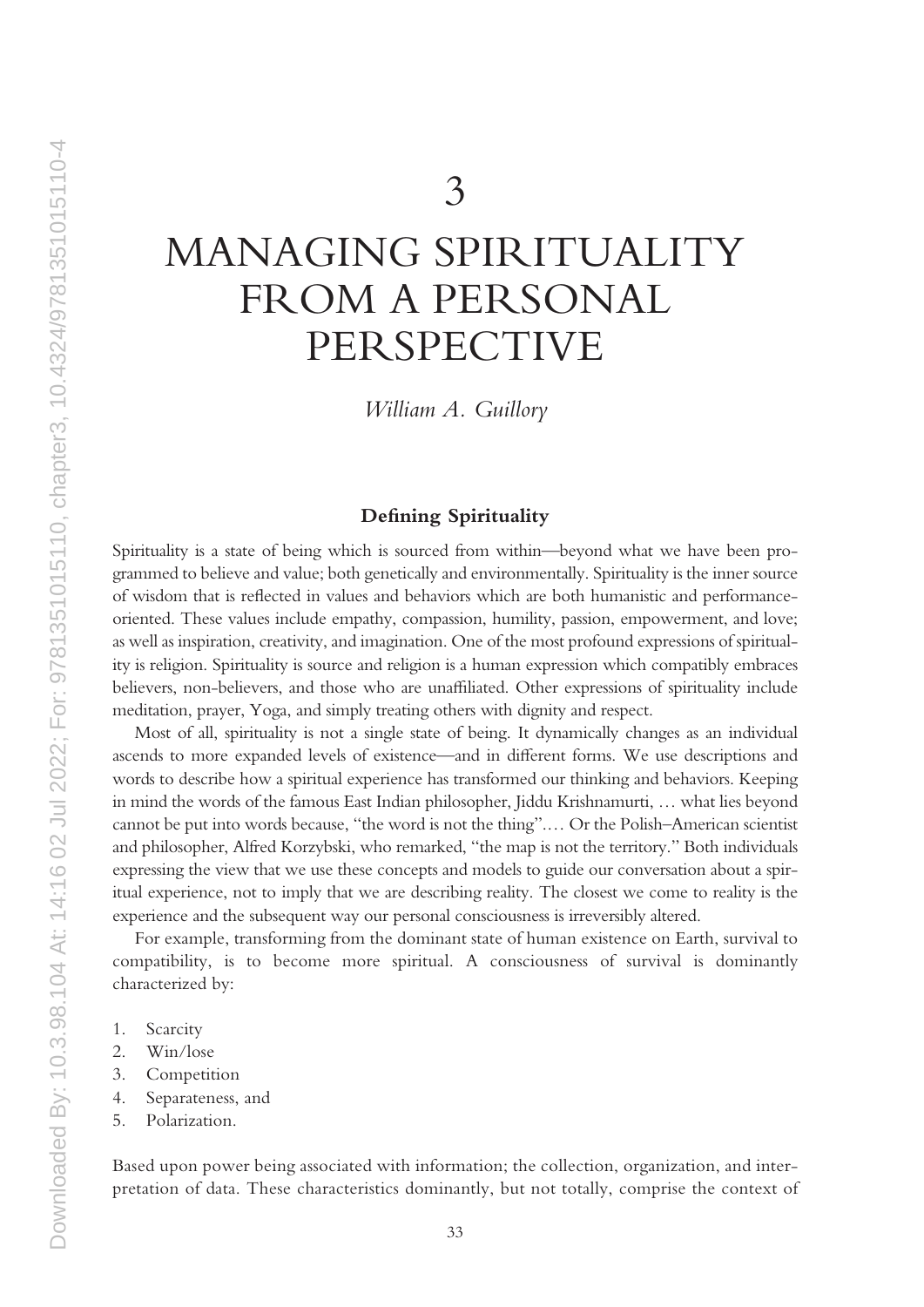# MANAGING SPIRITUALITY FROM A PERSONAL PERSPECTIVE

*William A. Guillory*

### **Defining Spirituality**

Spirituality is a state of being which is sourced from within—beyond what we have been programmed to believe and value; both genetically and environmentally. Spirituality is the inner source of wisdom that is reflected in values and behaviors which are both humanistic and performanceoriented. These values include empathy, compassion, humility, passion, empowerment, and love; as well as inspiration, creativity, and imagination. One of the most profound expressions of spirituality is religion. Spirituality is source and religion is a human expression which compatibly embraces believers, non-believers, and those who are unaffiliated. Other expressions of spirituality include meditation, prayer, Yoga, and simply treating others with dignity and respect.

Most of all, spirituality is not a single state of being. It dynamically changes as an individual ascends to more expanded levels of existence—and in different forms. We use descriptions and words to describe how a spiritual experience has transformed our thinking and behaviors. Keeping in mind the words of the famous East Indian philosopher, Jiddu Krishnamurti, … what lies beyond cannot be put into words because, "the word is not the thing".… Or the Polish–American scientist and philosopher, Alfred Korzybski, who remarked, "the map is not the territory." Both individuals expressing the view that we use these concepts and models to guide our conversation about a spiritual experience, not to imply that we are describing reality. The closest we come to reality is the experience and the subsequent way our personal consciousness is irreversibly altered.

For example, transforming from the dominant state of human existence on Earth, survival to compatibility, is to become more spiritual. A consciousness of survival is dominantly characterized by:

- 1. Scarcity
- 2. Win/lose
- 3. Competition
- 4. Separateness, and
- 5. Polarization.

Based upon power being associated with information; the collection, organization, and interpretation of data. These characteristics dominantly, but not totally, comprise the context of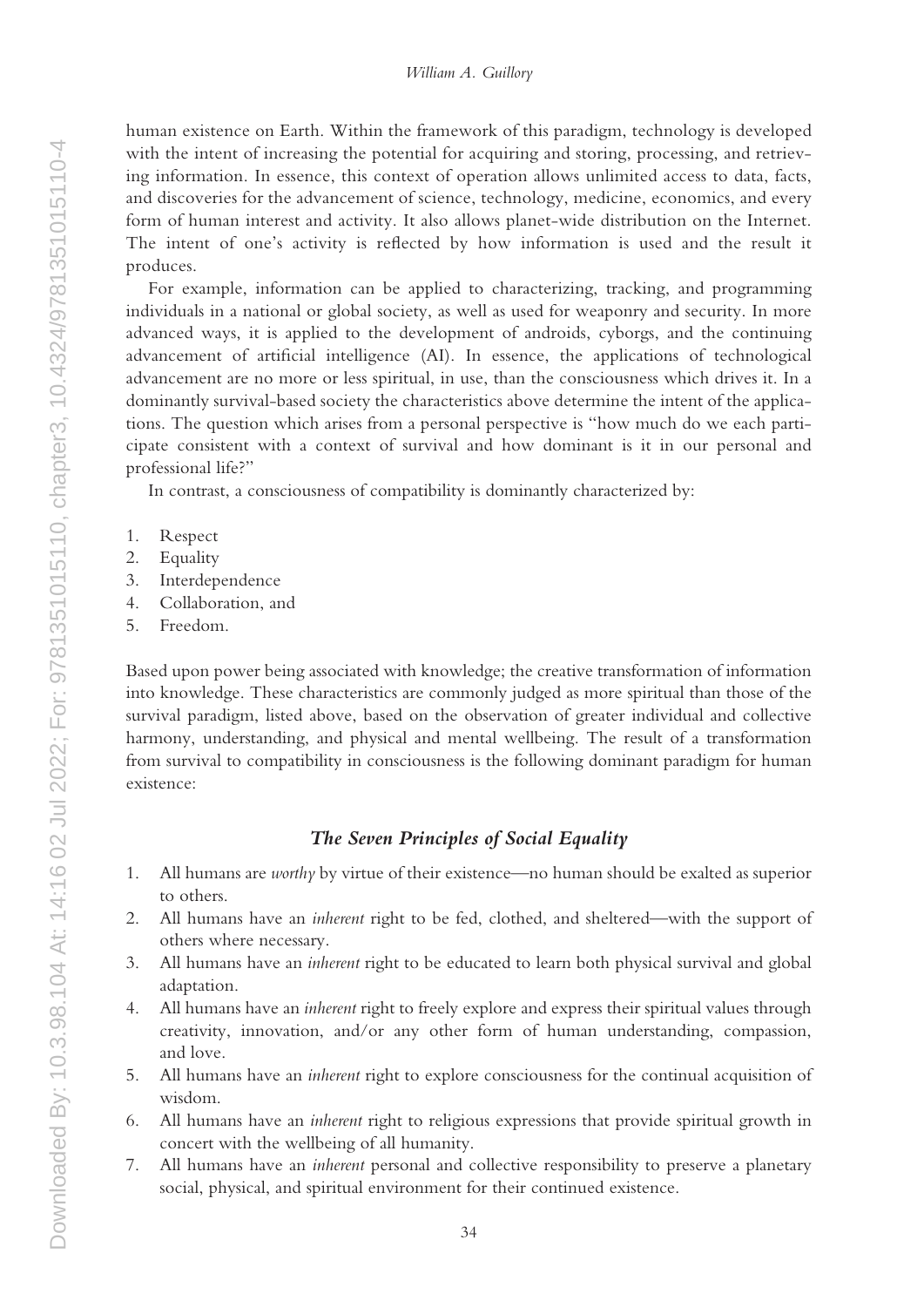human existence on Earth. Within the framework of this paradigm, technology is developed with the intent of increasing the potential for acquiring and storing, processing, and retrieving information. In essence, this context of operation allows unlimited access to data, facts, and discoveries for the advancement of science, technology, medicine, economics, and every form of human interest and activity. It also allows planet-wide distribution on the Internet. The intent of one's activity is reflected by how information is used and the result it produces.

For example, information can be applied to characterizing, tracking, and programming individuals in a national or global society, as well as used for weaponry and security. In more advanced ways, it is applied to the development of androids, cyborgs, and the continuing advancement of artificial intelligence (AI). In essence, the applications of technological advancement are no more or less spiritual, in use, than the consciousness which drives it. In a dominantly survival-based society the characteristics above determine the intent of the applications. The question which arises from a personal perspective is "how much do we each participate consistent with a context of survival and how dominant is it in our personal and professional life?"

In contrast, a consciousness of compatibility is dominantly characterized by:

- 1. Respect
- 2. Equality
- 3. Interdependence
- 4. Collaboration, and
- 5. Freedom.

Based upon power being associated with knowledge; the creative transformation of information into knowledge. These characteristics are commonly judged as more spiritual than those of the survival paradigm, listed above, based on the observation of greater individual and collective harmony, understanding, and physical and mental wellbeing. The result of a transformation from survival to compatibility in consciousness is the following dominant paradigm for human existence:

#### *The Seven Principles of Social Equality*

- 1. All humans are *worthy* by virtue of their existence—no human should be exalted as superior to others.
- 2. All humans have an *inherent* right to be fed, clothed, and sheltered—with the support of others where necessary.
- 3. All humans have an *inherent* right to be educated to learn both physical survival and global adaptation.
- 4. All humans have an *inherent* right to freely explore and express their spiritual values through creativity, innovation, and/or any other form of human understanding, compassion, and love.
- 5. All humans have an *inherent* right to explore consciousness for the continual acquisition of wisdom.
- 6. All humans have an *inherent* right to religious expressions that provide spiritual growth in concert with the wellbeing of all humanity.
- 7. All humans have an *inherent* personal and collective responsibility to preserve a planetary social, physical, and spiritual environment for their continued existence.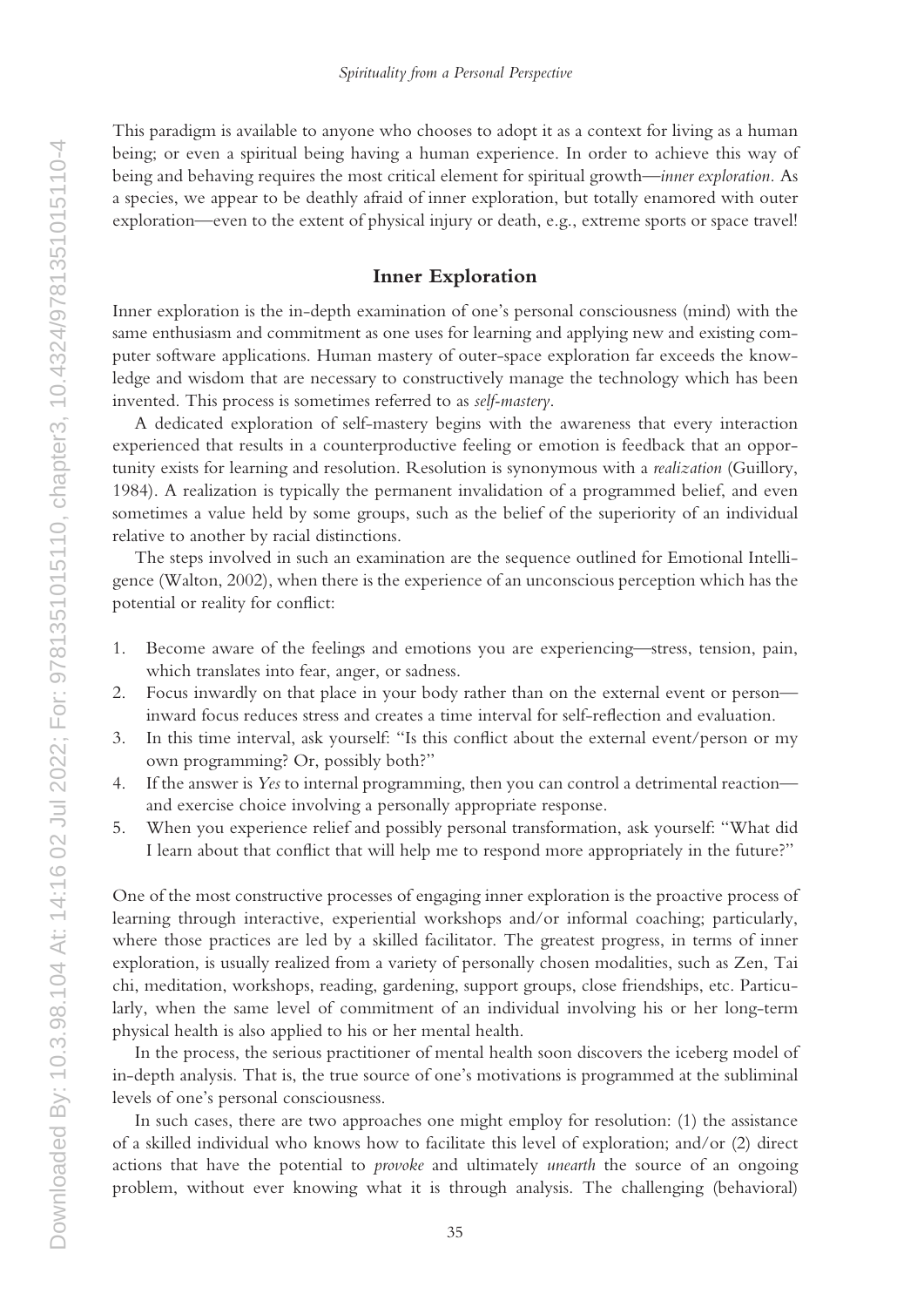This paradigm is available to anyone who chooses to adopt it as a context for living as a human being; or even a spiritual being having a human experience. In order to achieve this way of being and behaving requires the most critical element for spiritual growth—*inner exploration.* As a species, we appear to be deathly afraid of inner exploration, but totally enamored with outer exploration—even to the extent of physical injury or death, e.g., extreme sports or space travel!

## **Inner Exploration**

Inner exploration is the in-depth examination of one's personal consciousness (mind) with the same enthusiasm and commitment as one uses for learning and applying new and existing computer software applications. Human mastery of outer-space exploration far exceeds the knowledge and wisdom that are necessary to constructively manage the technology which has been invented. This process is sometimes referred to as *self-mastery*.

A dedicated exploration of self-mastery begins with the awareness that every interaction experienced that results in a counterproductive feeling or emotion is feedback that an opportunity exists for learning and resolution. Resolution is synonymous with a *realization* (Guillory, 1984). A realization is typically the permanent invalidation of a programmed belief, and even sometimes a value held by some groups, such as the belief of the superiority of an individual relative to another by racial distinctions.

The steps involved in such an examination are the sequence outlined for Emotional Intelligence (Walton, 2002), when there is the experience of an unconscious perception which has the potential or reality for conflict:

- 1. Become aware of the feelings and emotions you are experiencing—stress, tension, pain, which translates into fear, anger, or sadness.
- 2. Focus inwardly on that place in your body rather than on the external event or person inward focus reduces stress and creates a time interval for self-reflection and evaluation.
- 3. In this time interval, ask yourself: "Is this conflict about the external event/person or my own programming? Or, possibly both?"
- 4. If the answer is *Yes* to internal programming, then you can control a detrimental reaction and exercise choice involving a personally appropriate response.
- 5. When you experience relief and possibly personal transformation, ask yourself: "What did I learn about that conflict that will help me to respond more appropriately in the future?"

One of the most constructive processes of engaging inner exploration is the proactive process of learning through interactive, experiential workshops and/or informal coaching; particularly, where those practices are led by a skilled facilitator. The greatest progress, in terms of inner exploration, is usually realized from a variety of personally chosen modalities, such as Zen, Tai chi, meditation, workshops, reading, gardening, support groups, close friendships, etc. Particularly, when the same level of commitment of an individual involving his or her long-term physical health is also applied to his or her mental health.

In the process, the serious practitioner of mental health soon discovers the iceberg model of in-depth analysis. That is, the true source of one's motivations is programmed at the subliminal levels of one's personal consciousness.

In such cases, there are two approaches one might employ for resolution: (1) the assistance of a skilled individual who knows how to facilitate this level of exploration; and/or (2) direct actions that have the potential to *provoke* and ultimately *unearth* the source of an ongoing problem, without ever knowing what it is through analysis. The challenging (behavioral)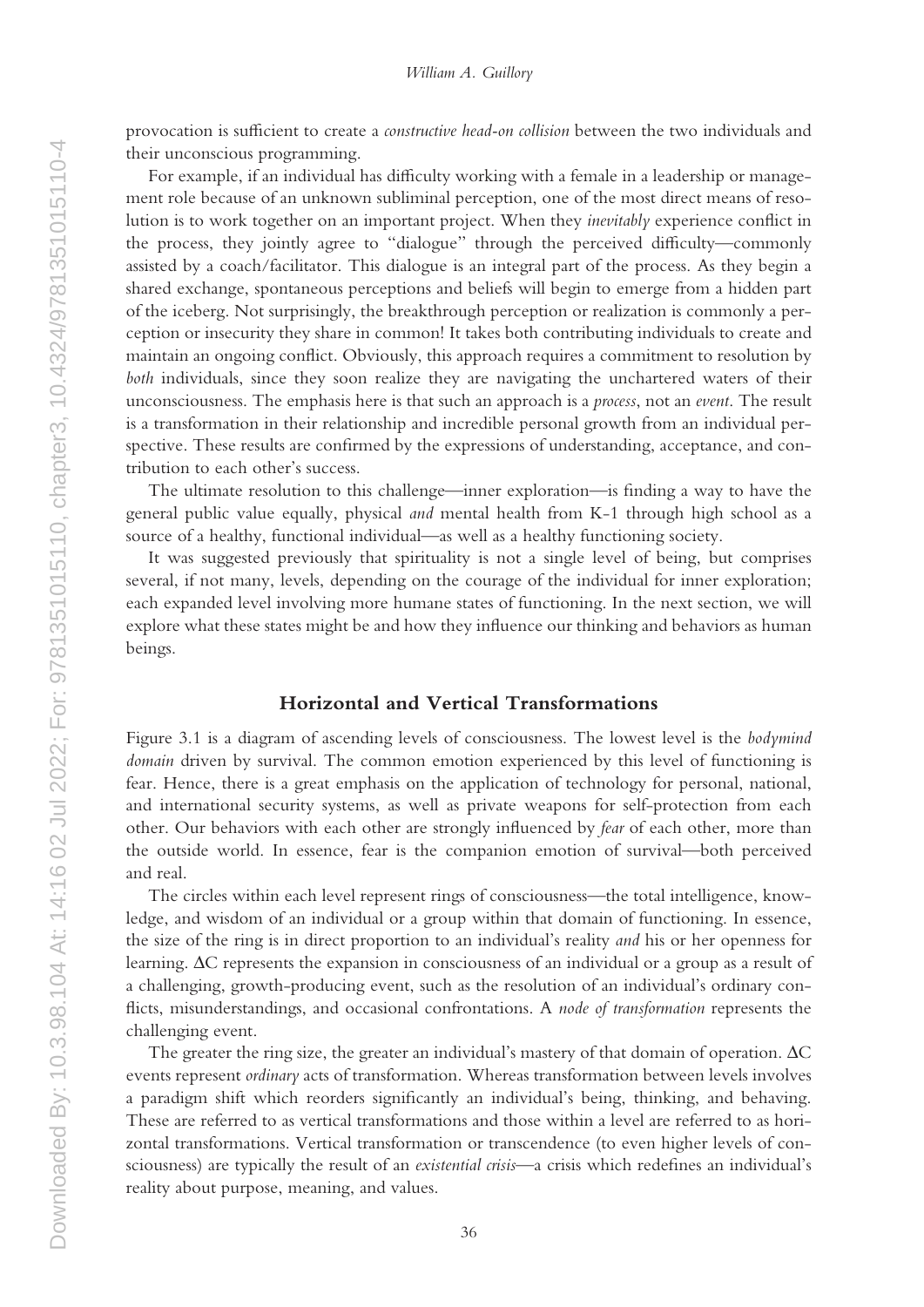provocation is sufficient to create a *constructive head-on collision* between the two individuals and their unconscious programming.

For example, if an individual has difficulty working with a female in a leadership or management role because of an unknown subliminal perception, one of the most direct means of resolution is to work together on an important project. When they *inevitably* experience conflict in the process, they jointly agree to "dialogue" through the perceived difficulty—commonly assisted by a coach/facilitator. This dialogue is an integral part of the process. As they begin a shared exchange, spontaneous perceptions and beliefs will begin to emerge from a hidden part of the iceberg. Not surprisingly, the breakthrough perception or realization is commonly a perception or insecurity they share in common! It takes both contributing individuals to create and maintain an ongoing conflict. Obviously, this approach requires a commitment to resolution by *both* individuals, since they soon realize they are navigating the unchartered waters of their unconsciousness. The emphasis here is that such an approach is a *process*, not an *event*. The result is a transformation in their relationship and incredible personal growth from an individual perspective. These results are confirmed by the expressions of understanding, acceptance, and contribution to each other's success.

The ultimate resolution to this challenge—inner exploration—is finding a way to have the general public value equally, physical *and* mental health from K-1 through high school as a source of a healthy, functional individual—as well as a healthy functioning society.

It was suggested previously that spirituality is not a single level of being, but comprises several, if not many, levels, depending on the courage of the individual for inner exploration; each expanded level involving more humane states of functioning. In the next section, we will explore what these states might be and how they influence our thinking and behaviors as human beings.

### **Horizontal and Vertical Transformations**

Figure 3.1 is a diagram of ascending levels of consciousness. The lowest level is the *bodymind domain* driven by survival. The common emotion experienced by this level of functioning is fear. Hence, there is a great emphasis on the application of technology for personal, national, and international security systems, as well as private weapons for self-protection from each other. Our behaviors with each other are strongly influenced by *fear* of each other, more than the outside world. In essence, fear is the companion emotion of survival—both perceived and real.

The circles within each level represent rings of consciousness—the total intelligence, knowledge, and wisdom of an individual or a group within that domain of functioning. In essence, the size of the ring is in direct proportion to an individual's reality *and* his or her openness for learning. ∆C represents the expansion in consciousness of an individual or a group as a result of a challenging, growth-producing event, such as the resolution of an individual's ordinary conflicts, misunderstandings, and occasional confrontations. A *node of transformation* represents the challenging event.

The greater the ring size, the greater an individual's mastery of that domain of operation. ∆C events represent *ordinary* acts of transformation. Whereas transformation between levels involves a paradigm shift which reorders significantly an individual's being, thinking, and behaving. These are referred to as vertical transformations and those within a level are referred to as horizontal transformations. Vertical transformation or transcendence (to even higher levels of consciousness) are typically the result of an *existential crisis*—a crisis which redefines an individual's reality about purpose, meaning, and values.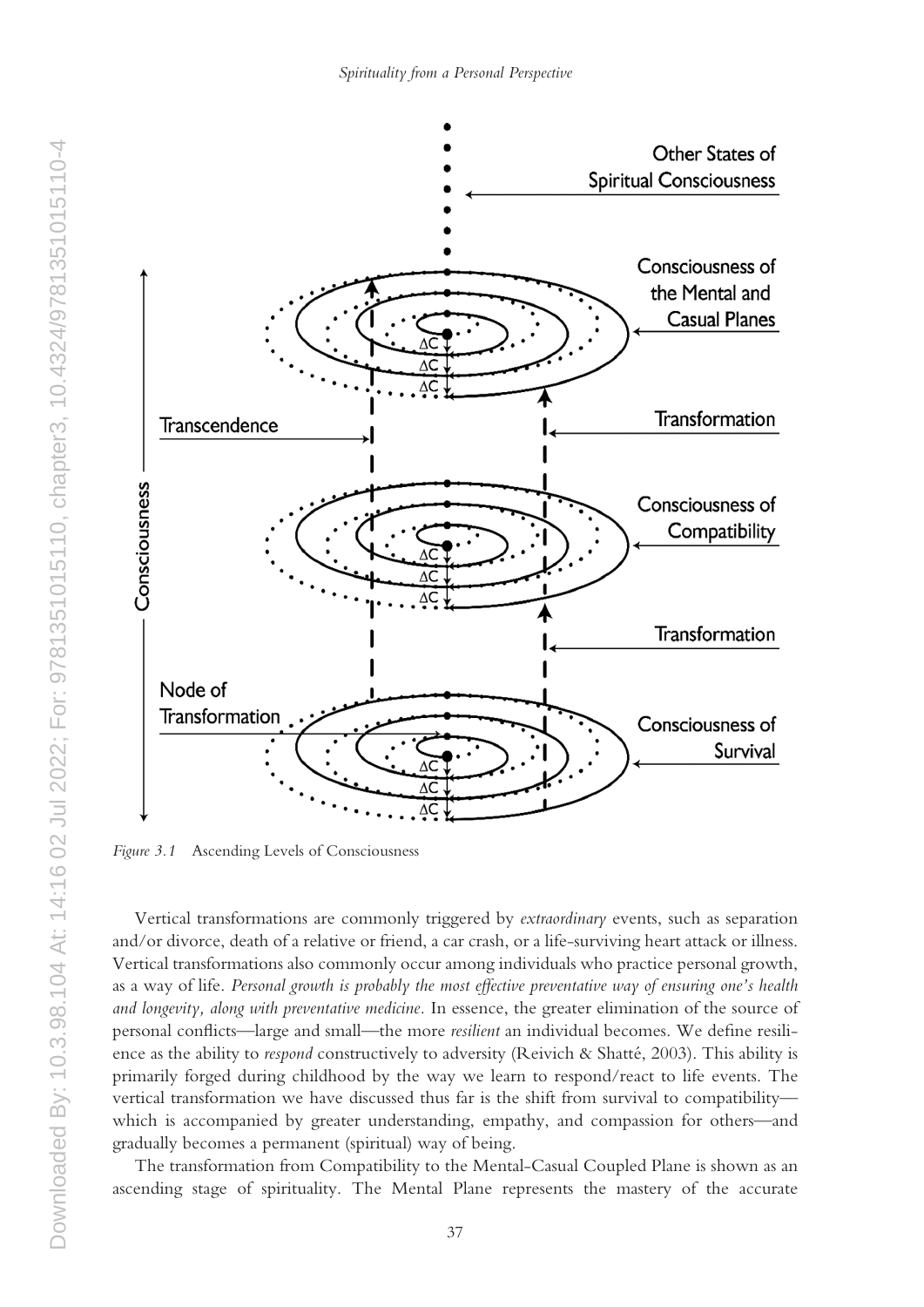

*Figure 3.1* Ascending Levels of Consciousness

Vertical transformations are commonly triggered by *extraordinary* events, such as separation and/or divorce, death of a relative or friend, a car crash, or a life-surviving heart attack or illness. Vertical transformations also commonly occur among individuals who practice personal growth, as a way of life. *Personal growth is probably the most effective preventative way of ensuring one's health and longevity, along with preventative medicine.* In essence, the greater elimination of the source of personal conflicts—large and small—the more *resilient* an individual becomes. We define resilience as the ability to *respond* constructively to adversity (Reivich & Shatté, 2003). This ability is primarily forged during childhood by the way we learn to respond/react to life events. The vertical transformation we have discussed thus far is the shift from survival to compatibility which is accompanied by greater understanding, empathy, and compassion for others—and gradually becomes a permanent (spiritual) way of being.

The transformation from Compatibility to the Mental-Casual Coupled Plane is shown as an ascending stage of spirituality. The Mental Plane represents the mastery of the accurate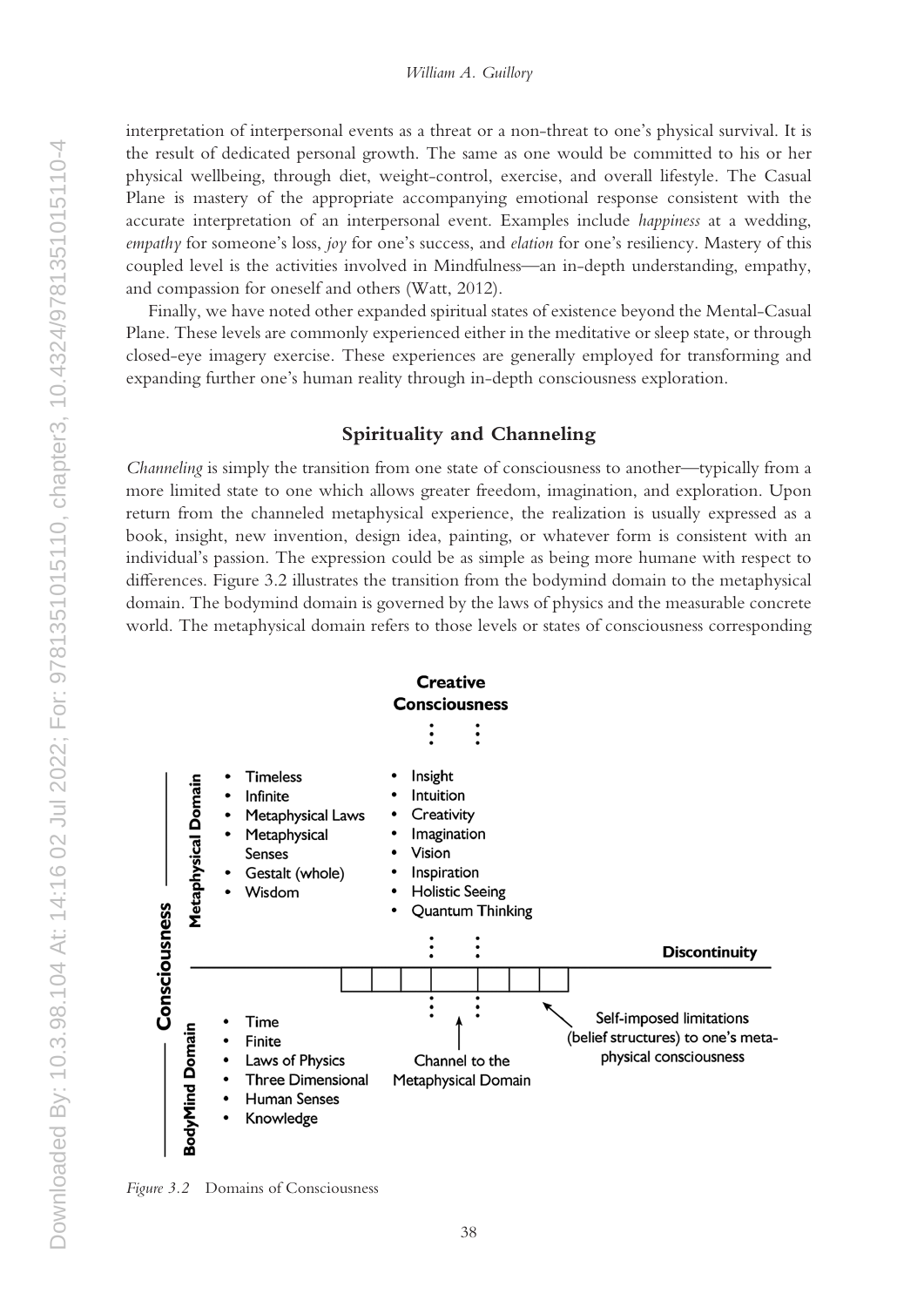interpretation of interpersonal events as a threat or a non-threat to one's physical survival. It is the result of dedicated personal growth. The same as one would be committed to his or her physical wellbeing, through diet, weight-control, exercise, and overall lifestyle. The Casual Plane is mastery of the appropriate accompanying emotional response consistent with the accurate interpretation of an interpersonal event. Examples include *happiness* at a wedding, *empathy* for someone's loss, *joy* for one's success, and *elation* for one's resiliency. Mastery of this coupled level is the activities involved in Mindfulness—an in-depth understanding, empathy, and compassion for oneself and others (Watt, 2012).

Finally, we have noted other expanded spiritual states of existence beyond the Mental-Casual Plane. These levels are commonly experienced either in the meditative or sleep state, or through closed-eye imagery exercise. These experiences are generally employed for transforming and expanding further one's human reality through in-depth consciousness exploration.

#### **Spirituality and Channeling**

*Channeling* is simply the transition from one state of consciousness to another—typically from a more limited state to one which allows greater freedom, imagination, and exploration. Upon return from the channeled metaphysical experience, the realization is usually expressed as a book, insight, new invention, design idea, painting, or whatever form is consistent with an individual's passion. The expression could be as simple as being more humane with respect to differences. Figure 3.2 illustrates the transition from the bodymind domain to the metaphysical domain. The bodymind domain is governed by the laws of physics and the measurable concrete world. The metaphysical domain refers to those levels or states of consciousness corresponding



*Figure 3.2* Domains of Consciousness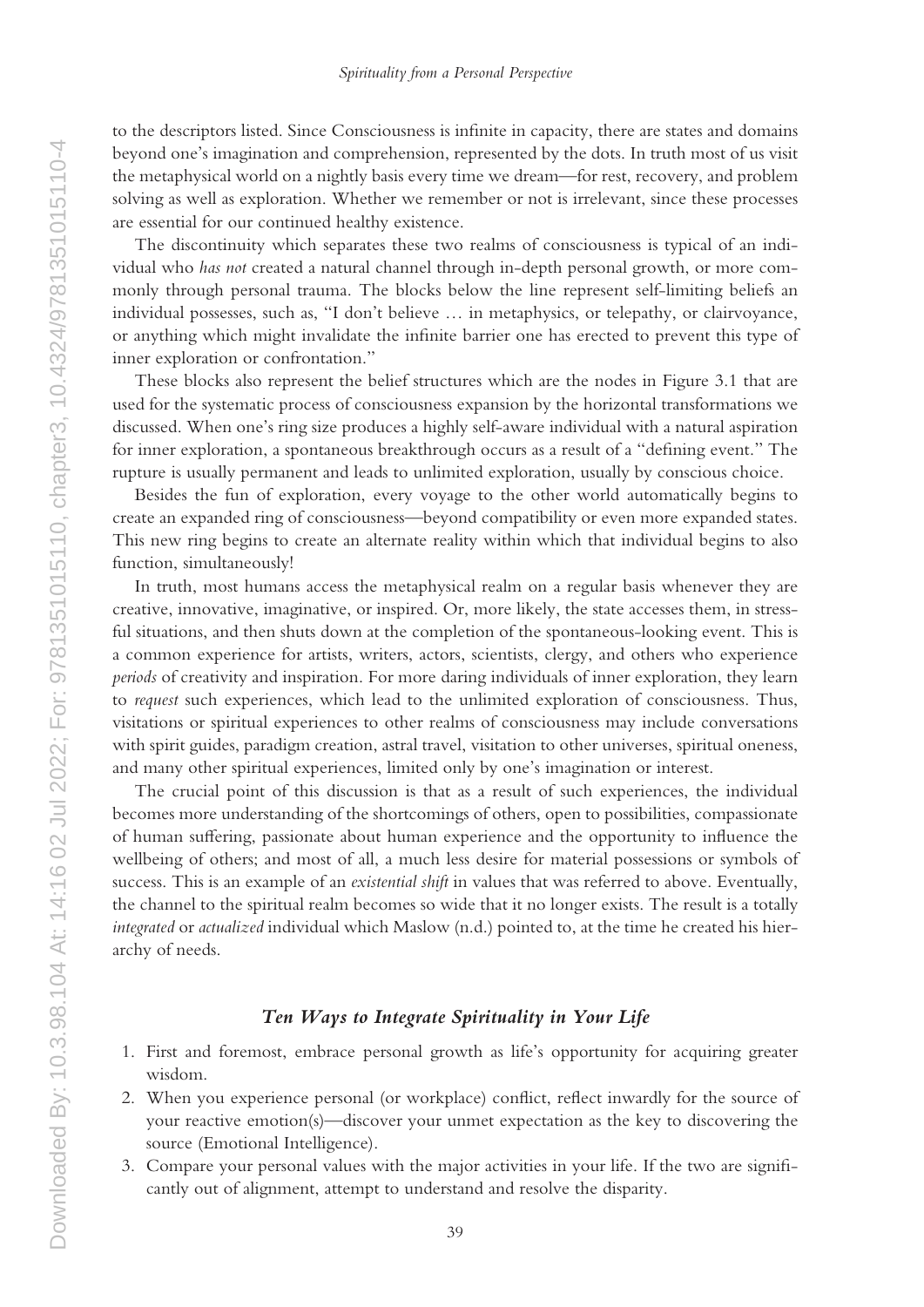to the descriptors listed. Since Consciousness is infinite in capacity, there are states and domains beyond one's imagination and comprehension, represented by the dots. In truth most of us visit the metaphysical world on a nightly basis every time we dream—for rest, recovery, and problem solving as well as exploration. Whether we remember or not is irrelevant, since these processes are essential for our continued healthy existence.

The discontinuity which separates these two realms of consciousness is typical of an individual who *has not* created a natural channel through in-depth personal growth, or more commonly through personal trauma. The blocks below the line represent self-limiting beliefs an individual possesses, such as, "I don't believe … in metaphysics, or telepathy, or clairvoyance, or anything which might invalidate the infinite barrier one has erected to prevent this type of inner exploration or confrontation."

These blocks also represent the belief structures which are the nodes in Figure 3.1 that are used for the systematic process of consciousness expansion by the horizontal transformations we discussed. When one's ring size produces a highly self-aware individual with a natural aspiration for inner exploration, a spontaneous breakthrough occurs as a result of a "defining event." The rupture is usually permanent and leads to unlimited exploration, usually by conscious choice.

Besides the fun of exploration, every voyage to the other world automatically begins to create an expanded ring of consciousness—beyond compatibility or even more expanded states. This new ring begins to create an alternate reality within which that individual begins to also function, simultaneously!

In truth, most humans access the metaphysical realm on a regular basis whenever they are creative, innovative, imaginative, or inspired. Or, more likely, the state accesses them, in stressful situations, and then shuts down at the completion of the spontaneous-looking event. This is a common experience for artists, writers, actors, scientists, clergy, and others who experience *periods* of creativity and inspiration. For more daring individuals of inner exploration, they learn to *request* such experiences, which lead to the unlimited exploration of consciousness. Thus, visitations or spiritual experiences to other realms of consciousness may include conversations with spirit guides, paradigm creation, astral travel, visitation to other universes, spiritual oneness, and many other spiritual experiences, limited only by one's imagination or interest.

The crucial point of this discussion is that as a result of such experiences, the individual becomes more understanding of the shortcomings of others, open to possibilities, compassionate of human suffering, passionate about human experience and the opportunity to influence the wellbeing of others; and most of all, a much less desire for material possessions or symbols of success. This is an example of an *existential shift* in values that was referred to above. Eventually, the channel to the spiritual realm becomes so wide that it no longer exists. The result is a totally *integrated* or *actualized* individual which Maslow (n.d.) pointed to, at the time he created his hierarchy of needs.

## *Ten Ways to Integrate Spirituality in Your Life*

- 1. First and foremost, embrace personal growth as life's opportunity for acquiring greater wisdom.
- 2. When you experience personal (or workplace) conflict, reflect inwardly for the source of your reactive emotion(s)—discover your unmet expectation as the key to discovering the source (Emotional Intelligence).
- 3. Compare your personal values with the major activities in your life. If the two are significantly out of alignment, attempt to understand and resolve the disparity.